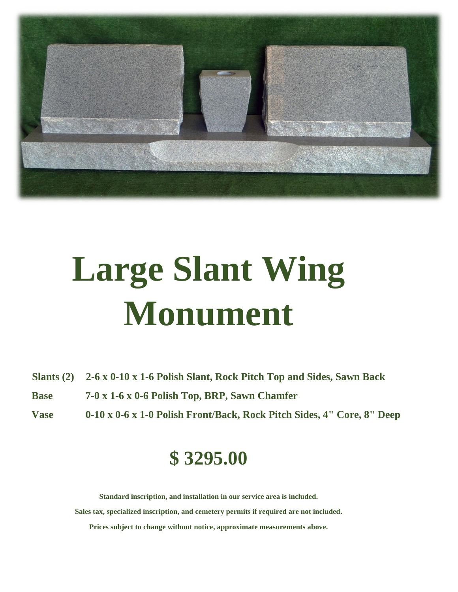

# **Large Slant Wing Monument**

**Slants (2) 2-6 x 0-10 x 1-6 Polish Slant, Rock Pitch Top and Sides, Sawn Back**

- **Base 7-0 x 1-6 x 0-6 Polish Top, BRP, Sawn Chamfer**
- **Vase 0-10 x 0-6 x 1-0 Polish Front/Back, Rock Pitch Sides, 4" Core, 8" Deep**

### **\$ 3295.00**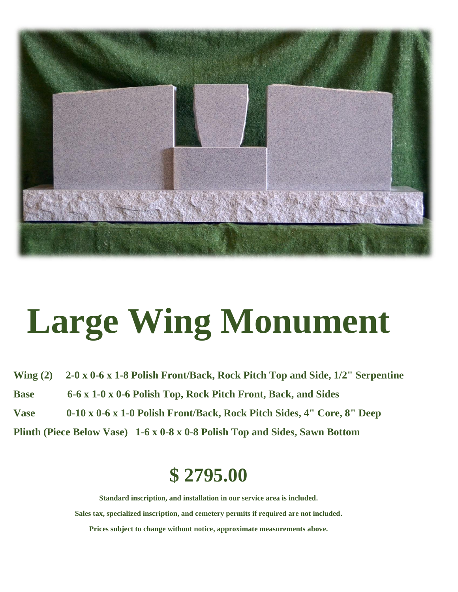

## **Large Wing Monument**

**Wing (2) 2-0 x 0-6 x 1-8 Polish Front/Back, Rock Pitch Top and Side, 1/2" Serpentine Base 6-6 x 1-0 x 0-6 Polish Top, Rock Pitch Front, Back, and Sides Vase 0-10 x 0-6 x 1-0 Polish Front/Back, Rock Pitch Sides, 4" Core, 8" Deep Plinth (Piece Below Vase) 1-6 x 0-8 x 0-8 Polish Top and Sides, Sawn Bottom**

### **\$ 2795.00**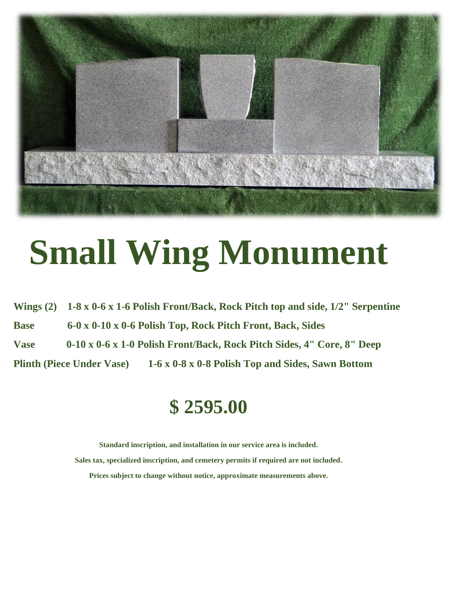

## **Small Wing Monument**

**Wings (2) 1-8 x 0-6 x 1-6 Polish Front/Back, Rock Pitch top and side, 1/2" Serpentine Base 6-0 x 0-10 x 0-6 Polish Top, Rock Pitch Front, Back, Sides Vase 0-10 x 0-6 x 1-0 Polish Front/Back, Rock Pitch Sides, 4" Core, 8" Deep Plinth (Piece Under Vase) 1-6 x 0-8 x 0-8 Polish Top and Sides, Sawn Bottom**

### **\$ 2595.00**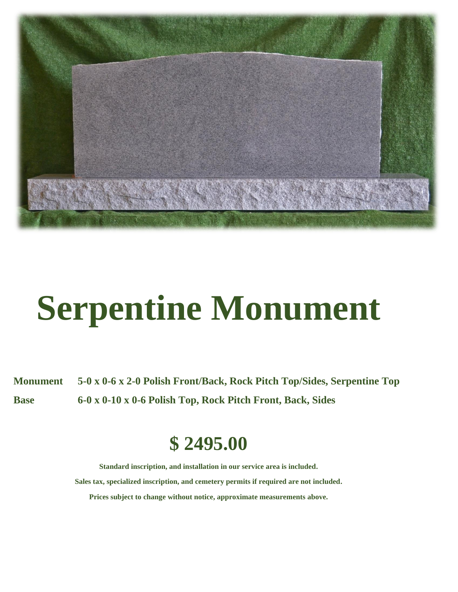

# **Serpentine Monument**

**Monument 5-0 x 0-6 x 2-0 Polish Front/Back, Rock Pitch Top/Sides, Serpentine Top Base 6-0 x 0-10 x 0-6 Polish Top, Rock Pitch Front, Back, Sides**

#### **\$ 2495.00**